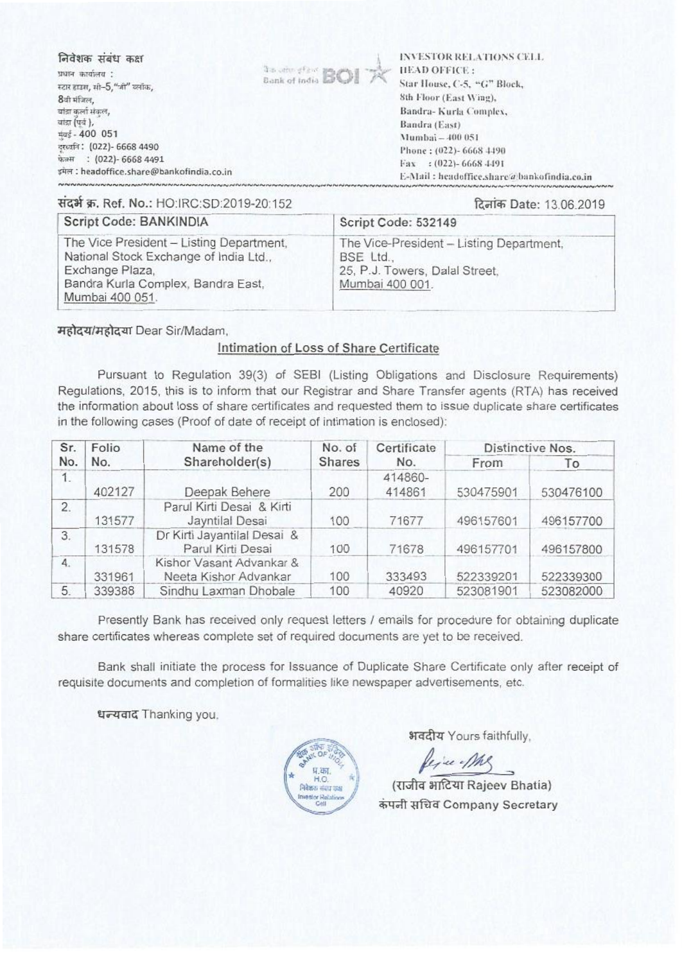निवेशक संबंध कक्ष

प्रधान कार्यालय : स्टार हाउस, सी-5, "जो" ब्लॉक. 8वी मंजिल, बांडा कर्ला संकल, बांद्रा (पर्व), मंबई - 400 051 दरव्यनि: (022)- 6668 4490 फेक्स: (022)- 6668 4491 इमेल : headoffice.share@bankofindia.co.in



**INVESTOR RELATIONS CELL HEAD OFFICE:** Star House, C-5, "G" Block, 8th Floor (East Wing). Bandra-Kurla Complex, Bandra (East) Mumbai - 400 051 Phone: (022)- 6668 4490 Fax: : (022)-6668-4491 E-Mail: headoffice.share@bankofindia.co.in

संदर्भ क्र. Ref. No.: HO:IRC:SD:2019-20:152

#### दिनांक Date: 13.06.2019

| Script Code: BANKINDIA                                                                                                                                         | Script Code: 532149                                                                                        |
|----------------------------------------------------------------------------------------------------------------------------------------------------------------|------------------------------------------------------------------------------------------------------------|
| The Vice President - Listing Department,<br>National Stock Exchange of India Ltd.,<br>Exchange Plaza,<br>Bandra Kurla Complex, Bandra East,<br>Mumbai 400 051. | The Vice-President - Listing Department,<br>BSE Ltd.,<br>25, P.J. Towers, Dalal Street,<br>Mumbai 400 001. |

महोदय/महोदया Dear Sir/Madam.

## Intimation of Loss of Share Certificate

Pursuant to Regulation 39(3) of SEBI (Listing Obligations and Disclosure Reguirements) Regulations, 2015, this is to inform that our Registrar and Share Transfer agents (RTA) has received the information about loss of share certificates and requested them to issue duplicate share certificates in the following cases (Proof of date of receipt of intimation is enclosed):

| Sr. | Folio  | Name of the                                       | No. of | Certificate       |           | Distinctive Nos. |
|-----|--------|---------------------------------------------------|--------|-------------------|-----------|------------------|
| No. | No.    | Shareholder(s)<br><b>Shares</b>                   |        | No.               | From      | To               |
| 1.  | 402127 | Deepak Behere                                     | 200    | 414860-<br>414861 | 530475901 | 530476100        |
| 2.  | 131577 | Parul Kirti Desai & Kirti<br>Jayntilal Desai      | 100    | 71677             | 496157601 | 496157700        |
| 3.  | 131578 | Dr Kirti Jayantilal Desai &<br>Parul Kirti Desai  | 100    | 71678             | 496157701 | 496157800        |
| 4.  | 331961 | Kishor Vasant Advankar &<br>Neeta Kishor Advankar | 100    | 333493            | 522339201 | 522339300        |
| 5.  | 339388 | Sindhu Laxman Dhobale                             | 100    | 40920             | 523081901 | 523082000        |

Presently Bank has received only request letters / emails for procedure for obtaining duplicate share certificates whereas complete set of required documents are yet to be received.

Bank shall initiate the process for Issuance of Duplicate Share Certificate only after receipt of requisite documents and completion of formalities like newspaper advertisements, etc.

धन्यवाद Thanking you,



भवदीय Yours faithfully.

fixe-Mg

(राजीव भाटिया Rajeev Bhatia) कंपनी सचिव Company Secretary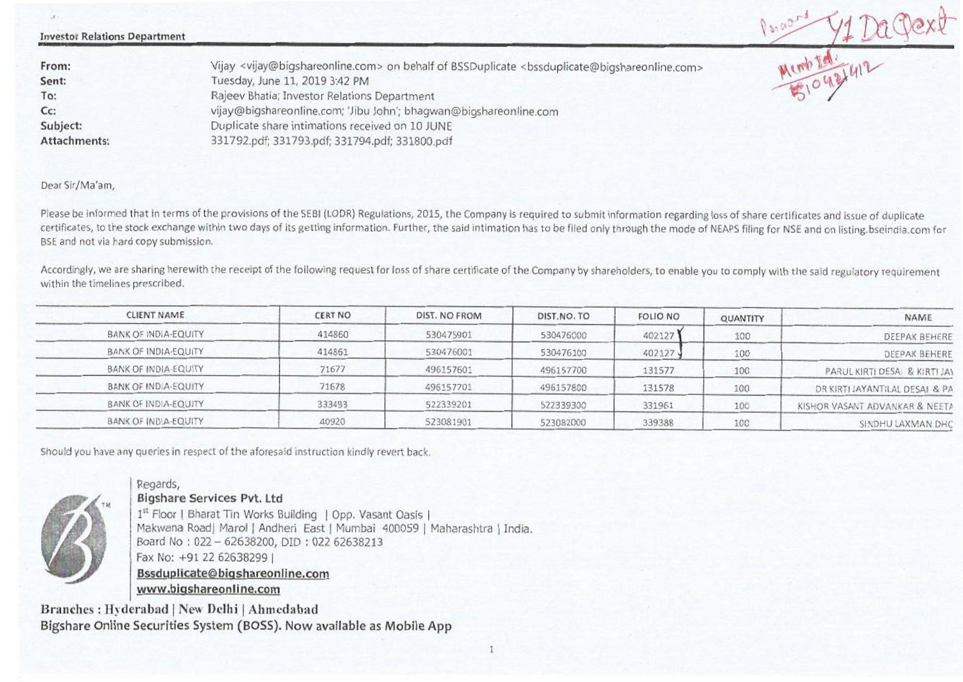| <b>Investor Relations Department</b> |                                                                                                                                                           | Dance |
|--------------------------------------|-----------------------------------------------------------------------------------------------------------------------------------------------------------|-------|
| From:                                | Vijay <vijay@bigshareonline.com> on behalf of BSSDuplicate <bssduplicate@bigshareonline.com></bssduplicate@bigshareonline.com></vijay@bigshareonline.com> |       |
| Sent:                                | Tuesday, June 11, 2019 3:42 PM                                                                                                                            |       |
| To:                                  | Rajeev Bhatia; Investor Relations Department                                                                                                              |       |
| $Cc$ :                               | vijay@bigshareonline.com; 'Jibu John'; bhagwan@bigshareonline.com                                                                                         |       |
| Subject:                             | Duplicate share intimations received on 10 JUNE                                                                                                           |       |
| <b>Attachments:</b>                  | 331792.pdf; 331793.pdf; 331794.pdf; 331800.pdf                                                                                                            |       |

Dear Sir/Ma'am,

Please be informed that in terms of the provisions of the SEBI (LODR) Regulations, 2015, the Company is required to submit information regarding loss of share certificates and issue of duplicate certificates, to the stock exchange within two days of its getting information. Further, the said intimation has to be filed only through the mode of NEAPS filing for NSE and on listing.bseindia.com for BSE and not via hard copy submission.

Accordingly, we are sharing herewith the receipt of the following request for loss of share certificate of the Company by shareholders, to enable you to comply with the said regulatory requirement within the timelines prescribed.

| NAME                           | QUANTITY | <b>FOLIO NO</b> | DIST.NO.TO | DIST. NO FROM | <b>CERT NO</b> | <b>CLIENT NAME</b>   |
|--------------------------------|----------|-----------------|------------|---------------|----------------|----------------------|
| DEEPAK BEHERE                  | 100      | 402127          | 530476000  | 530475901     | 414860         | BANK OF INDIA-EQUITY |
| DEEPAK BEHERE                  | 100      | 402127          | 530476100  | 530476001     | 414861         | BANK OF INDIA-EQUITY |
| PARUL KIRTI DESA & KIRTI JAY   | 100      | 131577          | 496157700  | 496157601     | 71677          | BANK OF INDIA-EQUITY |
| DR KIRTI JAYANTILAL DESAI & PA | 100      | 131578          | 496157800  | 496157701     | 71678          | BANK OF INDIA-EQUITY |
| KISHOR VASANT ADVANKAR & NEETA | 100      | 331961          | 522339300  | 522339201     | 333493         | BANK OF INDIA-EQUITY |
| SINDHU LAXMAN DHC              | 100      | 339388          | 523082000  | 523081901     | 40920          | BANK OF INDIA-EQUITY |

Should you have any queries in respect of the aforesaid instruction kindly revert back.



#### Regards, Bigshare Services Pvt. Ltd

1st Floor | Bharat Tin Works Building | Opp. Vasant Oasis | Makwana Road| Marol | Andheri East | Mumbai 400059 | Maharashtra | India. Board No : 022 — 62638200, DID : 022 62638213 Fax No: +91 22 62638299 I Bssdunlicate@bioshareonline.com www.biqshareonline.com

Branches : **Hyderabad I New Delhi I Ahmedabad Bigshare Online Securities System (BOSS). Now available as Mobile App**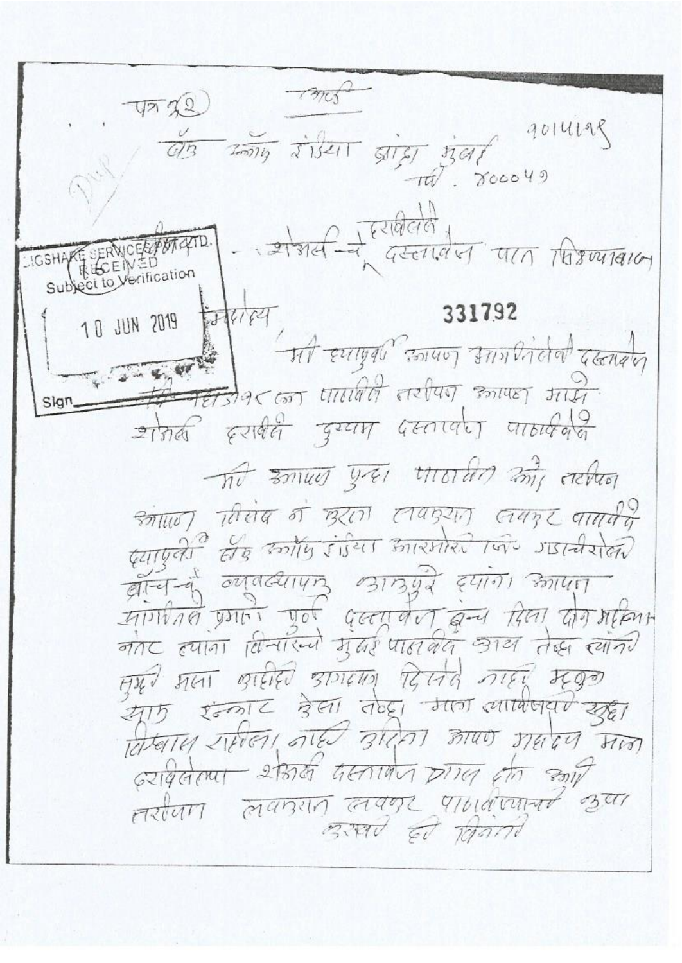mos  $9014198$  $\frac{1}{20014}$   $\frac{1}{215211}$ sing nat  $\pi\widetilde{\psi}$   $\widetilde{\chi}$ 00049  $\frac{1}{21316}-\frac{1}{4}$  existed to  $\frac{1}{411}$  throusance IGSHAM SERVICES POT CHID.<br>Subject to Verification 10 JUN 2019 12-18-18-1 331792 At Entrance control annotation control  $9667$  trutted extra must the Sign शोगकी इराबीली दुग्यम परतापा पाठार्कबुद The must yet morald my reduct श्लोखन सिसंब न छूटता तकरात लगार वामवी क्याएली से कार्याy डाउंटर आरमोररे की गडानीशैल वान्तन्यूं व्यावत्यापार आर्ग्रेय हमारी केगया मागरीत प्रगत पूर्व पुल्ला वेल बेल मिला पीन अमिन नोट हमांगा विनारन्गे मुझ पात बैद आय तेल त्यानी मय मला खालेरी आगामा दिलते नाहरे म्यूक इन्काट देला तेव्हा गता लाबिजवर यहा 打万 विस्वाय रामेला, नाही बुद्धिता अया अवदेय मान seradour 21378 GEATING on  $301/$ Astan Mansin age manuat Bind Ed Band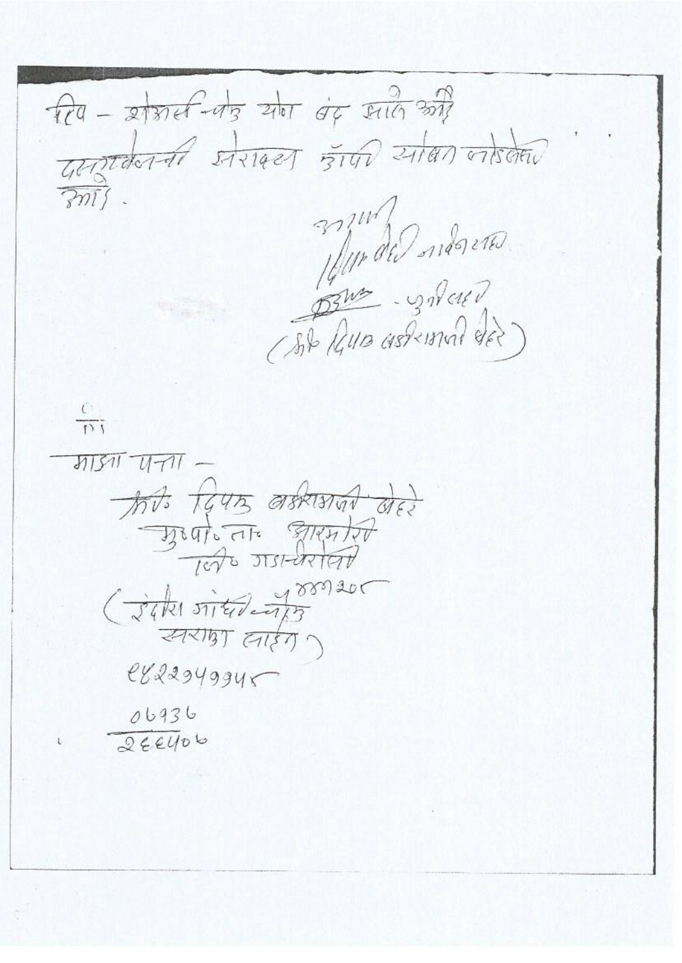$\hat{H}$  -  $\hat{A}$  and  $\hat{A}$  and  $\hat{B}$  and  $\hat{C}$  $rac{1}{2000}$  $\frac{C}{D}$ <u>माङ्ग पना</u> this teurs asking ded Beat at Stented (Jake situlations *ZARIBT ETER )*  $e$ 822949945 06936  $266406$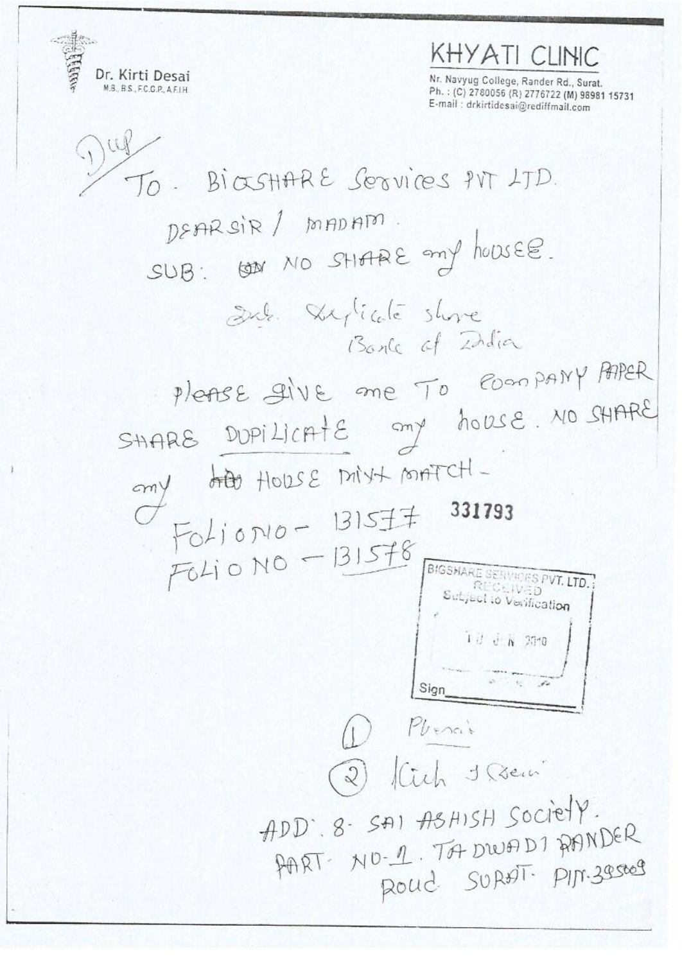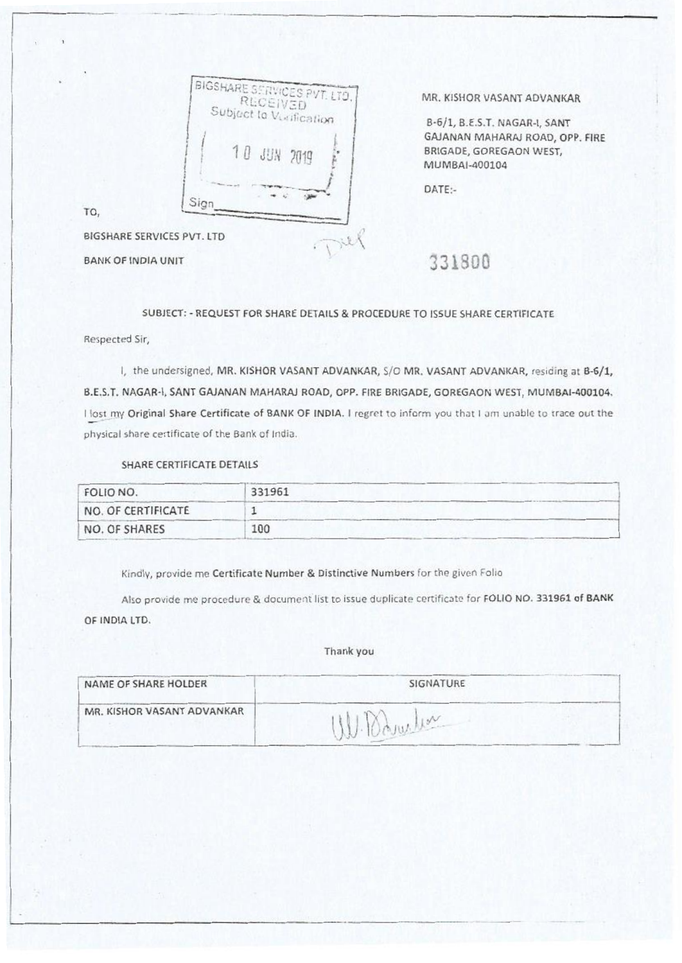|      | RECEIVED    | BIGSHARE SERVICES PVT. LTD.<br>Subject to Vucification |  |
|------|-------------|--------------------------------------------------------|--|
|      | 10 JUN 2019 |                                                        |  |
| Sign |             |                                                        |  |

MR. KISHOR VASANT ADVANKAR

8-6/1, B.E.S.T. NAGAR-I, SANT GAJANAN MAHARAJ ROAD, OPP. FIRE BRIGADE, GOREGAON WEST, MUMBAI-400104

DATE:-

BIGSHARE SERVICES PVT. LTD BIGSHARE SERVICES PVT. LTD<br>BANK OF INDIA UNIT

TO,

### SUBJECT: - REQUEST FOR SHARE DETAILS & PROCEDURE TO ISSUE SHARE CERTIFICATE

Respected Sir,

I, the undersigned, MR. KISHOR VASANT ADVANKAR, S/O MR. VASANT ADVANKAR, residing at B-6/1, B.E.S.T. NAGAR-I, SANT GAJANAN MAHARAJ ROAD, OPP. FIRE BRIGADE, GOREGAON WEST, MUMBAI-400104. I lost my Original Share Certificate of BANK OF INDIA. I regret to inform you that I am unable to trace out the physical share certificate of the Bank of India.

## SHARE CERTIFICATE DETAILS

| FOLIO NO.          | 331961 |
|--------------------|--------|
| NO. OF CERTIFICATE |        |
| NO. OF SHARES      | 100    |

Kindly, provide me Certificate Number & Distinctive Numbers for the given Folio

Also provide me procedure & document list to issue duplicate certificate *for* FOLIO NO. 331961 of BANK OF INDIA LTD.

#### Thank you

| NAME OF SHARE HOLDER       | SIGNATURE     |  |
|----------------------------|---------------|--|
| MR. KISHOR VASANT ADVANKAR | $\frac{1}{2}$ |  |